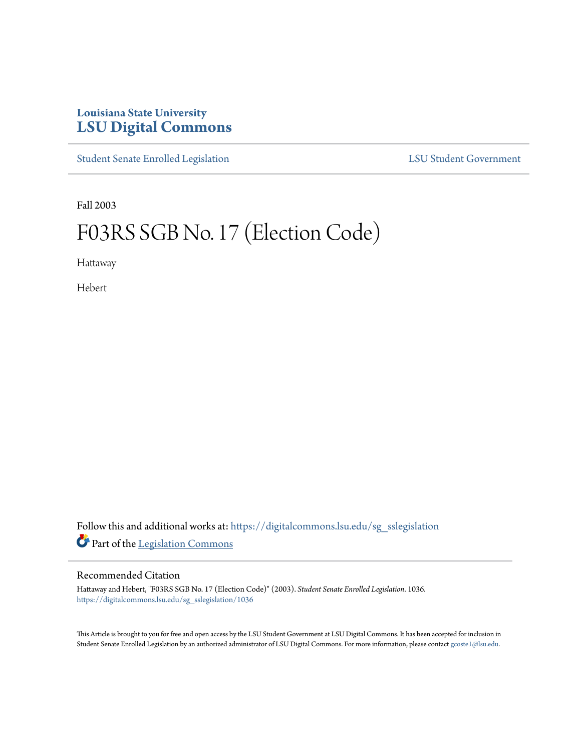# **Louisiana State University [LSU Digital Commons](https://digitalcommons.lsu.edu?utm_source=digitalcommons.lsu.edu%2Fsg_sslegislation%2F1036&utm_medium=PDF&utm_campaign=PDFCoverPages)**

[Student Senate Enrolled Legislation](https://digitalcommons.lsu.edu/sg_sslegislation?utm_source=digitalcommons.lsu.edu%2Fsg_sslegislation%2F1036&utm_medium=PDF&utm_campaign=PDFCoverPages) [LSU Student Government](https://digitalcommons.lsu.edu/sg?utm_source=digitalcommons.lsu.edu%2Fsg_sslegislation%2F1036&utm_medium=PDF&utm_campaign=PDFCoverPages)

Fall 2003

# F03RS SGB No. 17 (Election Code)

Hattaway

Hebert

Follow this and additional works at: [https://digitalcommons.lsu.edu/sg\\_sslegislation](https://digitalcommons.lsu.edu/sg_sslegislation?utm_source=digitalcommons.lsu.edu%2Fsg_sslegislation%2F1036&utm_medium=PDF&utm_campaign=PDFCoverPages) Part of the [Legislation Commons](http://network.bepress.com/hgg/discipline/859?utm_source=digitalcommons.lsu.edu%2Fsg_sslegislation%2F1036&utm_medium=PDF&utm_campaign=PDFCoverPages)

#### Recommended Citation

Hattaway and Hebert, "F03RS SGB No. 17 (Election Code)" (2003). *Student Senate Enrolled Legislation*. 1036. [https://digitalcommons.lsu.edu/sg\\_sslegislation/1036](https://digitalcommons.lsu.edu/sg_sslegislation/1036?utm_source=digitalcommons.lsu.edu%2Fsg_sslegislation%2F1036&utm_medium=PDF&utm_campaign=PDFCoverPages)

This Article is brought to you for free and open access by the LSU Student Government at LSU Digital Commons. It has been accepted for inclusion in Student Senate Enrolled Legislation by an authorized administrator of LSU Digital Commons. For more information, please contact [gcoste1@lsu.edu.](mailto:gcoste1@lsu.edu)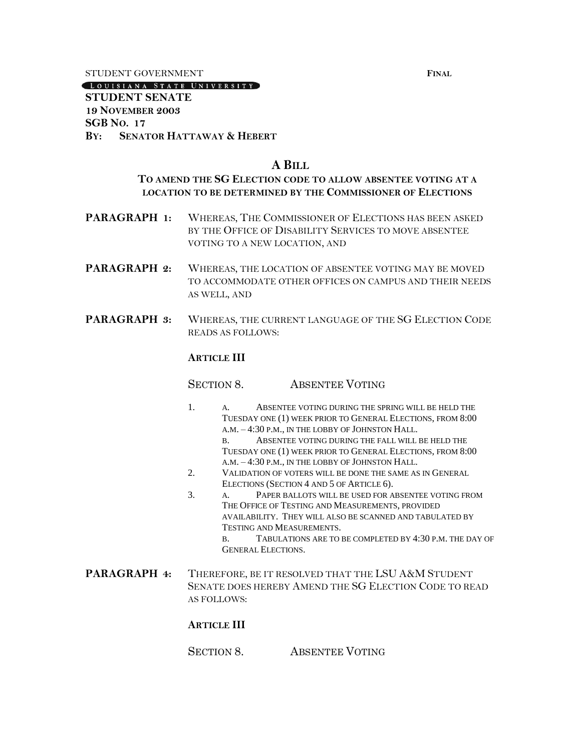STUDENT GOVERNMENT **FINAL**

(LOUISIANA STATE UNIVERSITY)

## **STUDENT SENATE 19 NOVEMBER 2003 SGB NO. 17 BY: SENATOR HATTAWAY & HEBERT**

# **A BILL**

# **TO AMEND THE SG ELECTION CODE TO ALLOW ABSENTEE VOTING AT A LOCATION TO BE DETERMINED BY THE COMMISSIONER OF ELECTIONS**

- **PARAGRAPH 1:** WHEREAS, THE COMMISSIONER OF ELECTIONS HAS BEEN ASKED BY THE OFFICE OF DISABILITY SERVICES TO MOVE ABSENTEE VOTING TO A NEW LOCATION, AND
- **PARAGRAPH 2:** WHEREAS, THE LOCATION OF ABSENTEE VOTING MAY BE MOVED TO ACCOMMODATE OTHER OFFICES ON CAMPUS AND THEIR NEEDS AS WELL, AND
- **PARAGRAPH 3:** WHEREAS, THE CURRENT LANGUAGE OF THE SG ELECTION CODE READS AS FOLLOWS:

## **ARTICLE III**

SECTION 8 ABSENTEE VOTING

- 1. A. ABSENTEE VOTING DURING THE SPRING WILL BE HELD THE TUESDAY ONE (1) WEEK PRIOR TO GENERAL ELECTIONS, FROM 8:00 A.M. – 4:30 P.M., IN THE LOBBY OF JOHNSTON HALL. B. ABSENTEE VOTING DURING THE FALL WILL BE HELD THE TUESDAY ONE (1) WEEK PRIOR TO GENERAL ELECTIONS, FROM 8:00
	- A.M. 4:30 P.M., IN THE LOBBY OF JOHNSTON HALL.
- 2. VALIDATION OF VOTERS WILL BE DONE THE SAME AS IN GENERAL ELECTIONS (SECTION 4 AND 5 OF ARTICLE 6).
- 3. A. PAPER BALLOTS WILL BE USED FOR ABSENTEE VOTING FROM THE OFFICE OF TESTING AND MEASUREMENTS, PROVIDED AVAILABILITY. THEY WILL ALSO BE SCANNED AND TABULATED BY TESTING AND MEASUREMENTS.
	- B. TABULATIONS ARE TO BE COMPLETED BY 4:30 P.M. THE DAY OF GENERAL ELECTIONS.
- **PARAGRAPH 4:** THEREFORE, BE IT RESOLVED THAT THE LSU A&M STUDENT SENATE DOES HEREBY AMEND THE SG ELECTION CODE TO READ AS FOLLOWS:

# **ARTICLE III**

SECTION 8. ABSENTEE VOTING